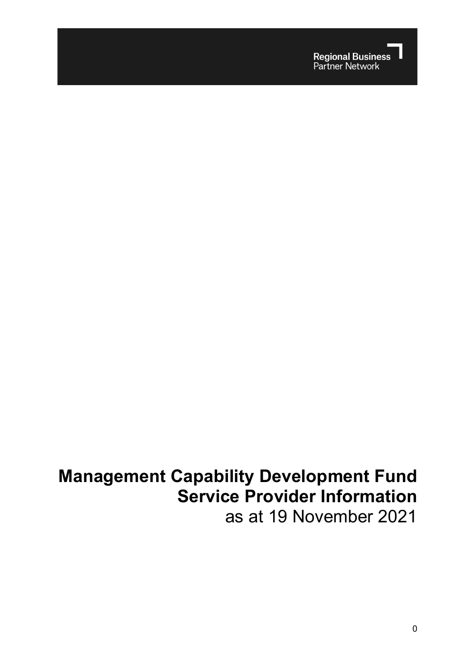

# **Management Capability Development Fund Service Provider Information** as at 19 November 2021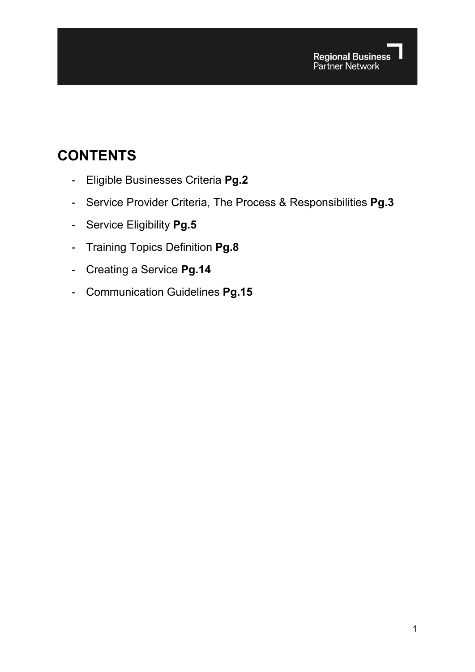## **CONTENTS**

- Eligible Businesses Criteria **Pg.2**
- Service Provider Criteria, The Process & Responsibilities **Pg.3**
- Service Eligibility **Pg.5**
- Training Topics Definition **Pg.8**
- Creating a Service **Pg.14**
- Communication Guidelines **Pg.15**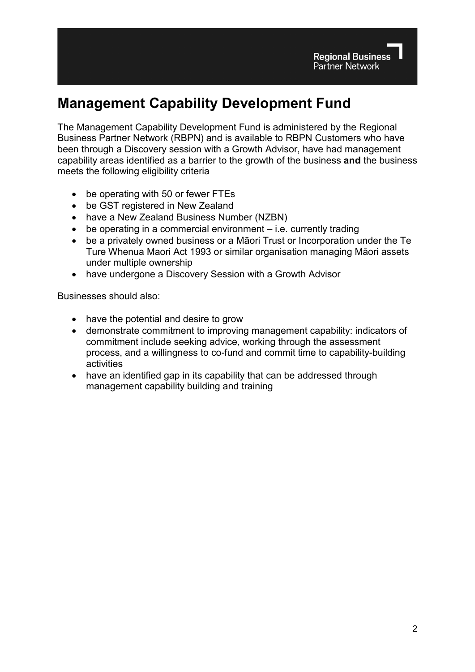## **Management Capability Development Fund**

The Management Capability Development Fund is administered by the Regional Business Partner Network (RBPN) and is available to RBPN Customers who have been through a Discovery session with a Growth Advisor, have had management capability areas identified as a barrier to the growth of the business **and** the business meets the following eligibility criteria

- be operating with 50 or fewer FTEs
- be GST registered in New Zealand
- have a New Zealand Business Number (NZBN)
- be operating in a commercial environment i.e. currently trading
- be a privately owned business or a Māori Trust or Incorporation under the Te Ture Whenua Maori Act 1993 or similar organisation managing Māori assets under multiple ownership
- have undergone a Discovery Session with a Growth Advisor

Businesses should also:

- have the potential and desire to grow
- demonstrate commitment to improving management capability: indicators of commitment include seeking advice, working through the assessment process, and a willingness to co-fund and commit time to capability-building activities
- have an identified gap in its capability that can be addressed through management capability building and training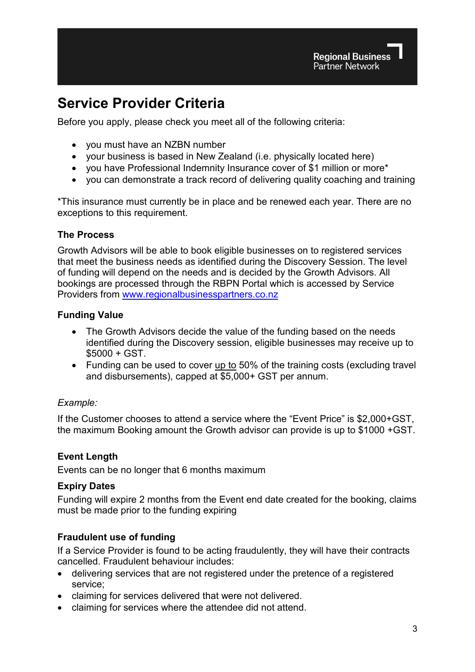## **Service Provider Criteria**

Before you apply, please check you meet all of the following criteria:

- you must have an NZBN number
- your business is based in New Zealand (i.e. physically located here)
- you have Professional Indemnity Insurance cover of \$1 million or more\*
- you can demonstrate a track record of delivering quality coaching and training

\*This insurance must currently be in place and be renewed each year. There are no exceptions to this requirement.

### **The Process**

Growth Advisors will be able to book eligible businesses on to registered services that meet the business needs as identified during the Discovery Session. The level of funding will depend on the needs and is decided by the Growth Advisors. All bookings are processed through the RBPN Portal which is accessed by Service Providers from [www.regionalbusinesspartners.co.nz](http://www.regionalbusinesspartners.co.nz/)

### **Funding Value**

- The Growth Advisors decide the value of the funding based on the needs identified during the Discovery session, eligible businesses may receive up to \$5000 + GST.
- Funding can be used to cover up to 50% of the training costs (excluding travel and disbursements), capped at \$5,000+ GST per annum.

### *Example:*

If the Customer chooses to attend a service where the "Event Price" is \$2,000+GST, the maximum Booking amount the Growth advisor can provide is up to \$1000 +GST.

### **Event Length**

Events can be no longer that 6 months maximum

### **Expiry Dates**

Funding will expire 2 months from the Event end date created for the booking, claims must be made prior to the funding expiring

### **Fraudulent use of funding**

If a Service Provider is found to be acting fraudulently, they will have their contracts cancelled. Fraudulent behaviour includes:

- delivering services that are not registered under the pretence of a registered service;
- claiming for services delivered that were not delivered.
- claiming for services where the attendee did not attend.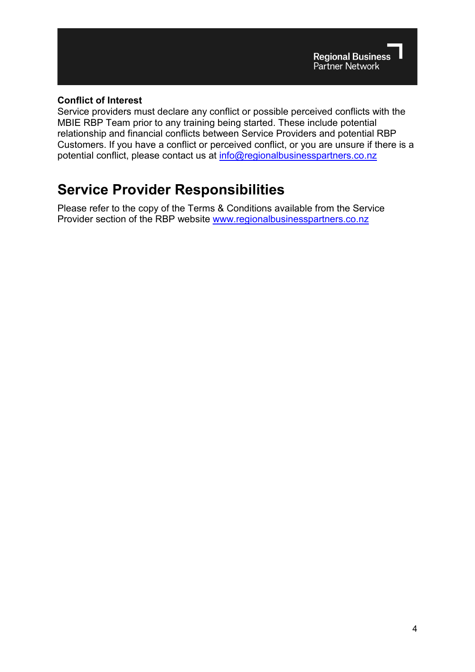### **Conflict of Interest**

Service providers must declare any conflict or possible perceived conflicts with the MBIE RBP Team prior to any training being started. These include potential relationship and financial conflicts between Service Providers and potential RBP Customers. If you have a conflict or perceived conflict, or you are unsure if there is a potential conflict, please contact us at [info@regionalbusinesspartners.co.nz](mailto:info@regionalbusinesspartners.co.nz)

## **Service Provider Responsibilities**

Please refer to the copy of the Terms & Conditions available from the Service Provider section of the RBP website [www.regionalbusinesspartners.co.nz](https://www.regionalbusinesspartners.co.nz/page/new-zealand-service-providers)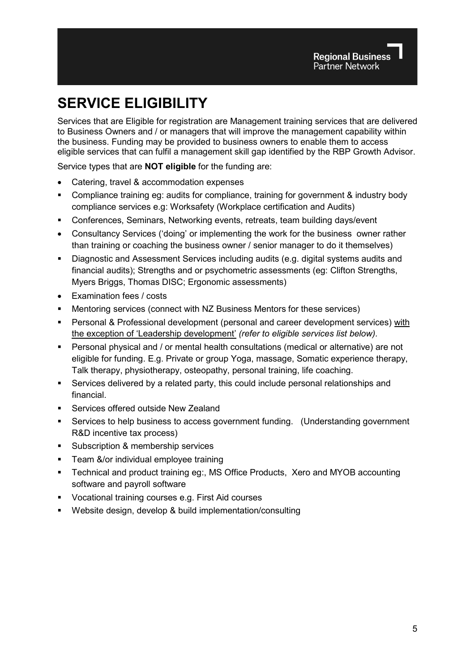## **SERVICE ELIGIBILITY**

Services that are Eligible for registration are Management training services that are delivered to Business Owners and / or managers that will improve the management capability within the business. Funding may be provided to business owners to enable them to access eligible services that can fulfil a management skill gap identified by the RBP Growth Advisor.

Service types that are **NOT eligible** for the funding are:

- Catering, travel & accommodation expenses
- Compliance training eg: audits for compliance, training for government & industry body compliance services e.g: Worksafety (Workplace certification and Audits)
- Conferences, Seminars, Networking events, retreats, team building days/event
- Consultancy Services ('doing' or implementing the work for the business owner rather than training or coaching the business owner / senior manager to do it themselves)
- Diagnostic and Assessment Services including audits (e.g. digital systems audits and financial audits); Strengths and or psychometric assessments (eg: Clifton Strengths, Myers Briggs, Thomas DISC; Ergonomic assessments)
- Examination fees / costs
- Mentoring services (connect with NZ Business Mentors for these services)
- Personal & Professional development (personal and career development services) with the exception of 'Leadership development' *(refer to eligible services list below).*
- Personal physical and / or mental health consultations (medical or alternative) are not eligible for funding. E.g. Private or group Yoga, massage, Somatic experience therapy, Talk therapy, physiotherapy, osteopathy, personal training, life coaching.
- Services delivered by a related party, this could include personal relationships and financial.
- Services offered outside New Zealand
- Services to help business to access government funding. (Understanding government R&D incentive tax process)
- **Subscription & membership services**
- **Team &/or individual employee training**
- Technical and product training eg:, MS Office Products, Xero and MYOB accounting software and payroll software
- Vocational training courses e.g. First Aid courses
- Website design, develop & build implementation/consulting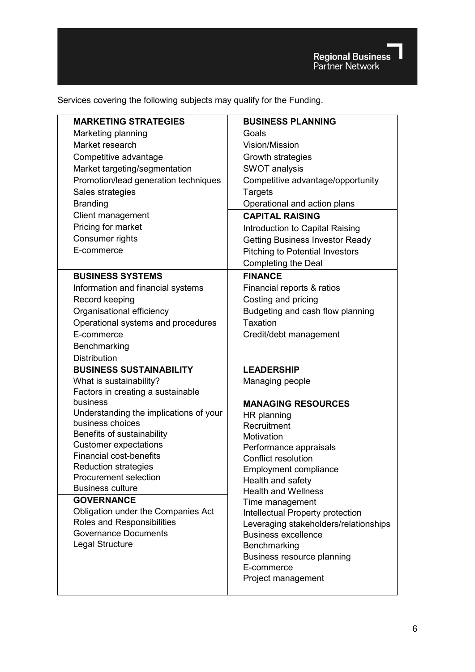Services covering the following subjects may qualify for the Funding.

| <b>MARKETING STRATEGIES</b>                             | <b>BUSINESS PLANNING</b>                                            |
|---------------------------------------------------------|---------------------------------------------------------------------|
| Marketing planning                                      | Goals                                                               |
| Market research                                         | Vision/Mission                                                      |
| Competitive advantage                                   | Growth strategies                                                   |
| Market targeting/segmentation                           | <b>SWOT analysis</b>                                                |
| Promotion/lead generation techniques                    | Competitive advantage/opportunity                                   |
| Sales strategies                                        | <b>Targets</b>                                                      |
| <b>Branding</b>                                         | Operational and action plans                                        |
| Client management                                       | <b>CAPITAL RAISING</b>                                              |
| Pricing for market                                      | Introduction to Capital Raising                                     |
| Consumer rights                                         | <b>Getting Business Investor Ready</b>                              |
| E-commerce                                              | <b>Pitching to Potential Investors</b>                              |
|                                                         | <b>Completing the Deal</b>                                          |
| <b>BUSINESS SYSTEMS</b>                                 | <b>FINANCE</b>                                                      |
| Information and financial systems                       | Financial reports & ratios                                          |
| Record keeping                                          | Costing and pricing                                                 |
| Organisational efficiency                               | Budgeting and cash flow planning                                    |
| Operational systems and procedures                      | Taxation                                                            |
| E-commerce                                              | Credit/debt management                                              |
| Benchmarking                                            |                                                                     |
|                                                         |                                                                     |
| <b>Distribution</b>                                     |                                                                     |
| <b>BUSINESS SUSTAINABILITY</b>                          | <b>LEADERSHIP</b>                                                   |
| What is sustainability?                                 | Managing people                                                     |
| Factors in creating a sustainable                       |                                                                     |
| business                                                | <b>MANAGING RESOURCES</b>                                           |
| Understanding the implications of your                  | HR planning                                                         |
| business choices                                        | Recruitment                                                         |
| Benefits of sustainability                              | Motivation                                                          |
| <b>Customer expectations</b>                            | Performance appraisals                                              |
| <b>Financial cost-benefits</b>                          | <b>Conflict resolution</b>                                          |
| <b>Reduction strategies</b>                             | <b>Employment compliance</b>                                        |
| <b>Procurement selection</b><br><b>Business culture</b> | Health and safety                                                   |
| <b>GOVERNANCE</b>                                       | <b>Health and Wellness</b>                                          |
| Obligation under the Companies Act                      | Time management                                                     |
| Roles and Responsibilities                              | Intellectual Property protection                                    |
| <b>Governance Documents</b>                             | Leveraging stakeholders/relationships<br><b>Business excellence</b> |
| Legal Structure                                         | Benchmarking                                                        |
|                                                         | Business resource planning                                          |
|                                                         | E-commerce                                                          |
|                                                         | Project management                                                  |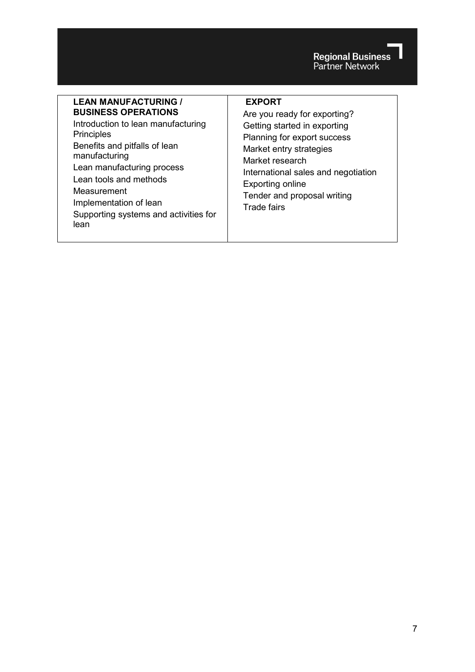Regional Business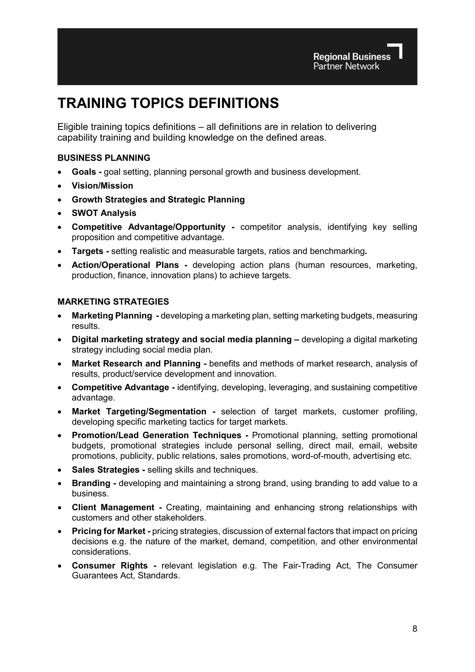## **TRAINING TOPICS DEFINITIONS**

Eligible training topics definitions – all definitions are in relation to delivering capability training and building knowledge on the defined areas.

#### **BUSINESS PLANNING**

- **Goals -** goal setting, planning personal growth and business development.
- **Vision/Mission**
- **Growth Strategies and Strategic Planning**
- **SWOT Analysis**
- **Competitive Advantage/Opportunity -** competitor analysis, identifying key selling proposition and competitive advantage.
- **Targets -** setting realistic and measurable targets, ratios and benchmarking**.**
- **Action/Operational Plans -** developing action plans (human resources, marketing, production, finance, innovation plans) to achieve targets.

#### **MARKETING STRATEGIES**

- **Marketing Planning -** developing a marketing plan, setting marketing budgets, measuring results.
- **Digital marketing strategy and social media planning –** developing a digital marketing strategy including social media plan.
- **Market Research and Planning -** benefits and methods of market research, analysis of results, product/service development and innovation.
- **Competitive Advantage -** identifying, developing, leveraging, and sustaining competitive advantage.
- **Market Targeting/Segmentation -** selection of target markets, customer profiling, developing specific marketing tactics for target markets.
- **Promotion/Lead Generation Techniques -** Promotional planning, setting promotional budgets, promotional strategies include personal selling, direct mail, email, website promotions, publicity, public relations, sales promotions, word-of-mouth, advertising etc.
- **Sales Strategies -** selling skills and techniques.
- **Branding -** developing and maintaining a strong brand, using branding to add value to a business.
- **Client Management -** Creating, maintaining and enhancing strong relationships with customers and other stakeholders.
- **Pricing for Market -** pricing strategies, discussion of external factors that impact on pricing decisions e.g. the nature of the market, demand, competition, and other environmental considerations.
- **Consumer Rights -** relevant legislation e.g. The Fair-Trading Act, The Consumer Guarantees Act, Standards.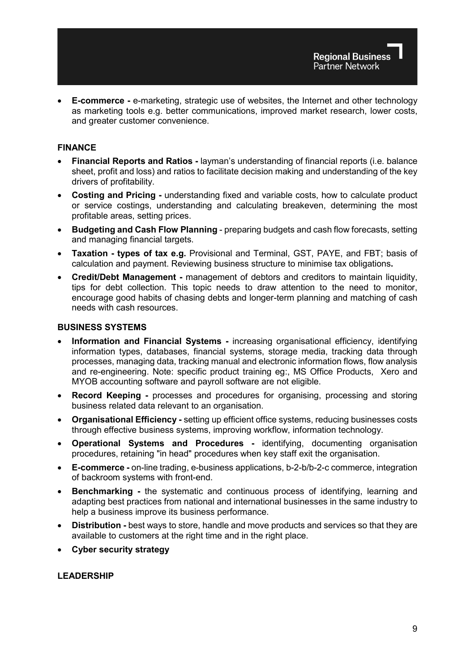• **E-commerce -** e-marketing, strategic use of websites, the Internet and other technology as marketing tools e.g. better communications, improved market research, lower costs, and greater customer convenience.

#### **FINANCE**

- **Financial Reports and Ratios -** layman's understanding of financial reports (i.e. balance sheet, profit and loss) and ratios to facilitate decision making and understanding of the key drivers of profitability.
- **Costing and Pricing -** understanding fixed and variable costs, how to calculate product or service costings, understanding and calculating breakeven, determining the most profitable areas, setting prices.
- **Budgeting and Cash Flow Planning**  preparing budgets and cash flow forecasts, setting and managing financial targets.
- **Taxation - types of tax e.g.** Provisional and Terminal, GST, PAYE, and FBT; basis of calculation and payment. Reviewing business structure to minimise tax obligations**.**
- **Credit/Debt Management -** management of debtors and creditors to maintain liquidity, tips for debt collection. This topic needs to draw attention to the need to monitor, encourage good habits of chasing debts and longer-term planning and matching of cash needs with cash resources.

#### **BUSINESS SYSTEMS**

- **Information and Financial Systems -** increasing organisational efficiency, identifying information types, databases, financial systems, storage media, tracking data through processes, managing data, tracking manual and electronic information flows, flow analysis and re-engineering. Note: specific product training eg:, MS Office Products, Xero and MYOB accounting software and payroll software are not eligible.
- **Record Keeping -** processes and procedures for organising, processing and storing business related data relevant to an organisation.
- **Organisational Efficiency -** setting up efficient office systems, reducing businesses costs through effective business systems, improving workflow, information technology.
- **Operational Systems and Procedures -** identifying, documenting organisation procedures, retaining "in head" procedures when key staff exit the organisation.
- **E-commerce -** on-line trading, e-business applications, b-2-b/b-2-c commerce, integration of backroom systems with front-end.
- **Benchmarking -** the systematic and continuous process of identifying, learning and adapting best practices from national and international businesses in the same industry to help a business improve its business performance.
- **Distribution -** best ways to store, handle and move products and services so that they are available to customers at the right time and in the right place.
- **Cyber security strategy**

#### **LEADERSHIP**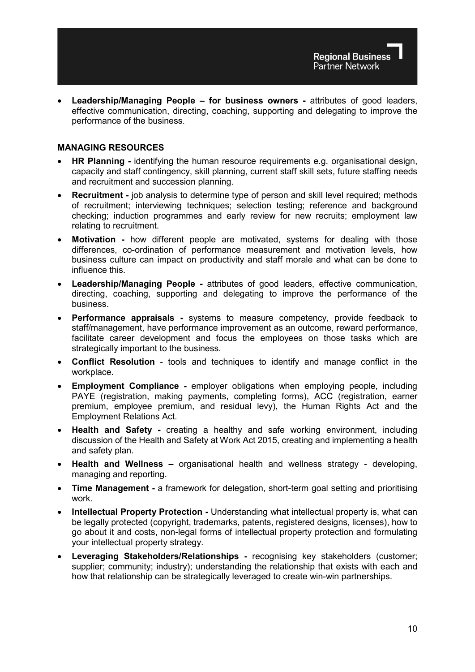• **Leadership/Managing People – for business owners -** attributes of good leaders, effective communication, directing, coaching, supporting and delegating to improve the performance of the business.

#### **MANAGING RESOURCES**

- **HR Planning -** identifying the human resource requirements e.g. organisational design, capacity and staff contingency, skill planning, current staff skill sets, future staffing needs and recruitment and succession planning.
- **Recruitment -** job analysis to determine type of person and skill level required; methods of recruitment; interviewing techniques; selection testing; reference and background checking; induction programmes and early review for new recruits; employment law relating to recruitment.
- **Motivation -** how different people are motivated, systems for dealing with those differences, co-ordination of performance measurement and motivation levels, how business culture can impact on productivity and staff morale and what can be done to influence this.
- **Leadership/Managing People -** attributes of good leaders, effective communication, directing, coaching, supporting and delegating to improve the performance of the business.
- **Performance appraisals -** systems to measure competency, provide feedback to staff/management, have performance improvement as an outcome, reward performance, facilitate career development and focus the employees on those tasks which are strategically important to the business.
- **Conflict Resolution**  tools and techniques to identify and manage conflict in the workplace.
- **Employment Compliance -** employer obligations when employing people, including PAYE (registration, making payments, completing forms), ACC (registration, earner premium, employee premium, and residual levy), the Human Rights Act and the Employment Relations Act.
- **Health and Safety -** creating a healthy and safe working environment, including discussion of the Health and Safety at Work Act 2015, creating and implementing a health and safety plan.
- **Health and Wellness –** organisational health and wellness strategy developing, managing and reporting.
- **Time Management -** a framework for delegation, short-term goal setting and prioritising work.
- **Intellectual Property Protection -** Understanding what intellectual property is, what can be legally protected (copyright, trademarks, patents, registered designs, licenses), how to go about it and costs, non-legal forms of intellectual property protection and formulating your intellectual property strategy.
- **Leveraging Stakeholders/Relationships -** recognising key stakeholders (customer; supplier; community; industry); understanding the relationship that exists with each and how that relationship can be strategically leveraged to create win-win partnerships.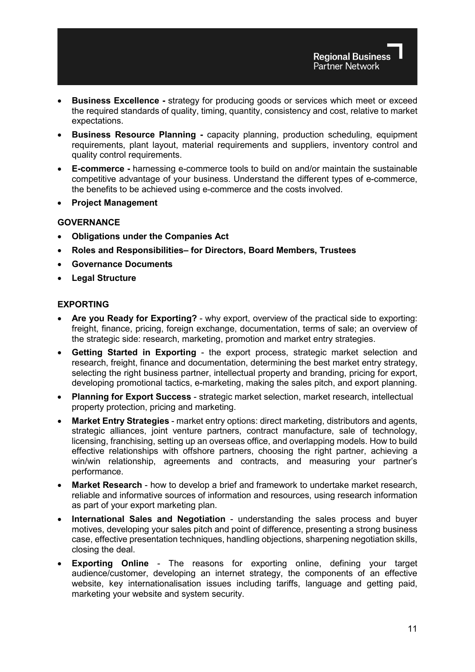- **Business Excellence -** strategy for producing goods or services which meet or exceed the required standards of quality, timing, quantity, consistency and cost, relative to market expectations.
- **Business Resource Planning -** capacity planning, production scheduling, equipment requirements, plant layout, material requirements and suppliers, inventory control and quality control requirements.
- **E-commerce -** harnessing e-commerce tools to build on and/or maintain the sustainable competitive advantage of your business. Understand the different types of e-commerce, the benefits to be achieved using e-commerce and the costs involved.
- **Project Management**

#### **GOVERNANCE**

- **Obligations under the Companies Act**
- **Roles and Responsibilities– for Directors, Board Members, Trustees**
- **Governance Documents**
- **Legal Structure**

#### **EXPORTING**

- **Are you Ready for Exporting?** why export, overview of the practical side to exporting: freight, finance, pricing, foreign exchange, documentation, terms of sale; an overview of the strategic side: research, marketing, promotion and market entry strategies.
- **Getting Started in Exporting** the export process, strategic market selection and research, freight, finance and documentation, determining the best market entry strategy, selecting the right business partner, intellectual property and branding, pricing for export, developing promotional tactics, e-marketing, making the sales pitch, and export planning.
- **Planning for Export Success** strategic market selection, market research, intellectual property protection, pricing and marketing.
- **Market Entry Strategies** market entry options: direct marketing, distributors and agents, strategic alliances, joint venture partners, contract manufacture, sale of technology, licensing, franchising, setting up an overseas office, and overlapping models. How to build effective relationships with offshore partners, choosing the right partner, achieving a win/win relationship, agreements and contracts, and measuring your partner's performance.
- **Market Research** how to develop a brief and framework to undertake market research, reliable and informative sources of information and resources, using research information as part of your export marketing plan.
- **International Sales and Negotiation** understanding the sales process and buyer motives, developing your sales pitch and point of difference, presenting a strong business case, effective presentation techniques, handling objections, sharpening negotiation skills, closing the deal.
- **Exporting Online** The reasons for exporting online, defining your target audience/customer, developing an internet strategy, the components of an effective website, key internationalisation issues including tariffs, language and getting paid, marketing your website and system security.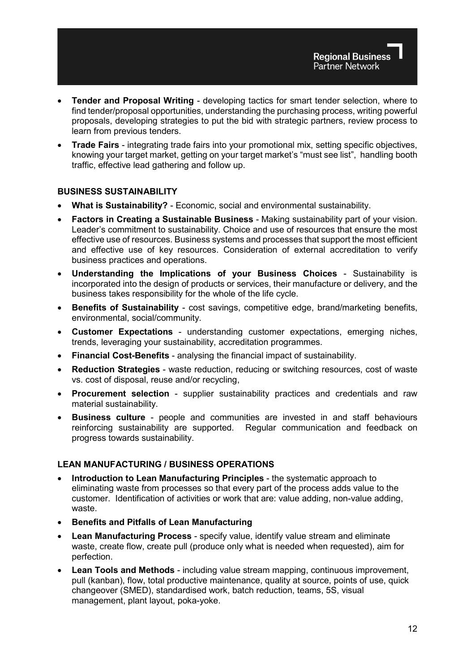- **Tender and Proposal Writing** developing tactics for smart tender selection, where to find tender/proposal opportunities, understanding the purchasing process, writing powerful proposals, developing strategies to put the bid with strategic partners, review process to learn from previous tenders.
- **Trade Fairs**  integrating trade fairs into your promotional mix, setting specific objectives, knowing your target market, getting on your target market's "must see list", handling booth traffic, effective lead gathering and follow up.

#### **BUSINESS SUSTAINABILITY**

- **What is Sustainability?** Economic, social and environmental sustainability.
- **Factors in Creating a Sustainable Business** Making sustainability part of your vision. Leader's commitment to sustainability. Choice and use of resources that ensure the most effective use of resources. Business systems and processes that support the most efficient and effective use of key resources. Consideration of external accreditation to verify business practices and operations.
- **Understanding the Implications of your Business Choices** Sustainability is incorporated into the design of products or services, their manufacture or delivery, and the business takes responsibility for the whole of the life cycle.
- **Benefits of Sustainability** cost savings, competitive edge, brand/marketing benefits, environmental, social/community.
- **Customer Expectations** understanding customer expectations, emerging niches, trends, leveraging your sustainability, accreditation programmes.
- **Financial Cost-Benefits** analysing the financial impact of sustainability.
- **Reduction Strategies** waste reduction, reducing or switching resources, cost of waste vs. cost of disposal, reuse and/or recycling,
- **Procurement selection** supplier sustainability practices and credentials and raw material sustainability.
- **Business culture** people and communities are invested in and staff behaviours reinforcing sustainability are supported. Regular communication and feedback on progress towards sustainability.

#### **LEAN MANUFACTURING / BUSINESS OPERATIONS**

- **Introduction to Lean Manufacturing Principles** the systematic approach to eliminating waste from processes so that every part of the process adds value to the customer. Identification of activities or work that are: value adding, non-value adding, waste.
- **Benefits and Pitfalls of Lean Manufacturing**
- **Lean Manufacturing Process**  specify value, identify value stream and eliminate waste, create flow, create pull (produce only what is needed when requested), aim for perfection.
- **Lean Tools and Methods** including value stream mapping, continuous improvement, pull (kanban), flow, total productive maintenance, quality at source, points of use, quick changeover (SMED), standardised work, batch reduction, teams, 5S, visual management, plant layout, poka-yoke.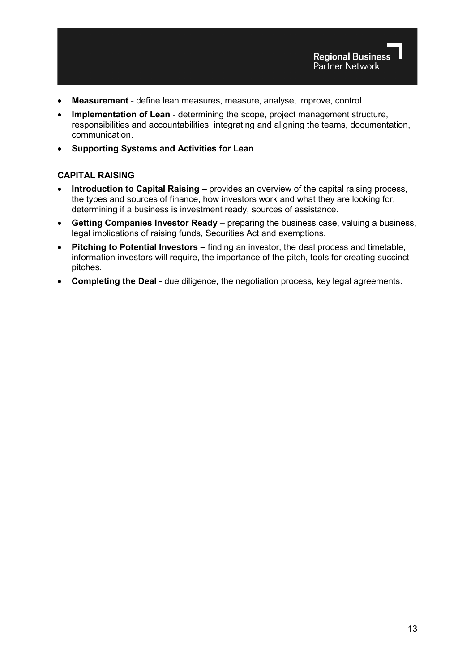

- **Measurement**  define lean measures, measure, analyse, improve, control.
- **Implementation of Lean**  determining the scope, project management structure, responsibilities and accountabilities, integrating and aligning the teams, documentation, communication.
- **Supporting Systems and Activities for Lean**

#### **CAPITAL RAISING**

- **Introduction to Capital Raising –** provides an overview of the capital raising process, the types and sources of finance, how investors work and what they are looking for, determining if a business is investment ready, sources of assistance.
- **Getting Companies Investor Ready** preparing the business case, valuing a business, legal implications of raising funds, Securities Act and exemptions.
- **Pitching to Potential Investors –** finding an investor, the deal process and timetable, information investors will require, the importance of the pitch, tools for creating succinct pitches.
- **Completing the Deal** due diligence, the negotiation process, key legal agreements.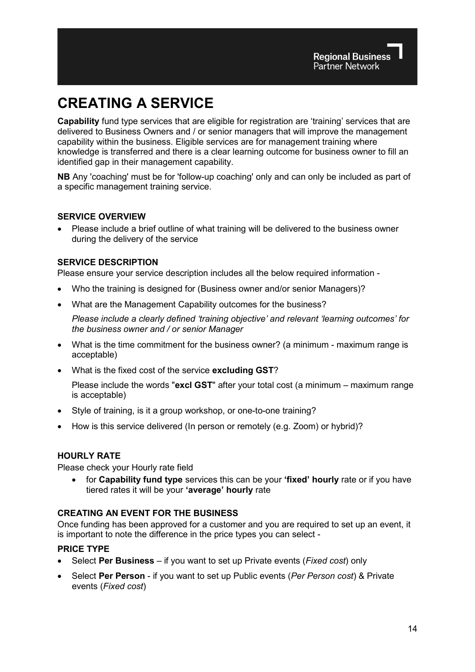## **CREATING A SERVICE**

**Capability** fund type services that are eligible for registration are 'training' services that are delivered to Business Owners and / or senior managers that will improve the management capability within the business. Eligible services are for management training where knowledge is transferred and there is a clear learning outcome for business owner to fill an identified gap in their management capability.

**NB** Any 'coaching' must be for 'follow-up coaching' only and can only be included as part of a specific management training service.

#### **SERVICE OVERVIEW**

• Please include a brief outline of what training will be delivered to the business owner during the delivery of the service

### **SERVICE DESCRIPTION**

Please ensure your service description includes all the below required information -

- Who the training is designed for (Business owner and/or senior Managers)?
- What are the Management Capability outcomes for the business?

*Please include a clearly defined 'training objective' and relevant 'learning outcomes' for the business owner and / or senior Manager*

- What is the time commitment for the business owner? (a minimum maximum range is acceptable)
- What is the fixed cost of the service **excluding GST**?

Please include the words "**excl GST**" after your total cost (a minimum – maximum range is acceptable)

- Style of training, is it a group workshop, or one-to-one training?
- How is this service delivered (In person or remotely (e.g. Zoom) or hybrid)?

#### **HOURLY RATE**

Please check your Hourly rate field

• for **Capability fund type** services this can be your **'fixed' hourly** rate or if you have tiered rates it will be your **'average' hourly** rate

#### **CREATING AN EVENT FOR THE BUSINESS**

Once funding has been approved for a customer and you are required to set up an event, it is important to note the difference in the price types you can select -

#### **PRICE TYPE**

- Select **Per Business** if you want to set up Private events (*Fixed cost*) only
- Select **Per Person** if you want to set up Public events (*Per Person cost*) & Private events (*Fixed cost*)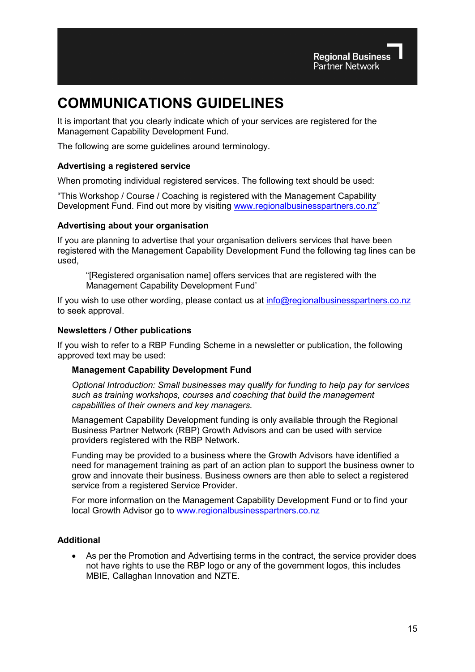## **COMMUNICATIONS GUIDELINES**

It is important that you clearly indicate which of your services are registered for the Management Capability Development Fund.

The following are some guidelines around terminology.

#### **Advertising a registered service**

When promoting individual registered services. The following text should be used:

"This Workshop / Course / Coaching is registered with the Management Capability Development Fund. Find out more by visiting [www.regionalbusinesspartners.co.nz"](http://www.regionalbusinesspartners.co.nz/)

#### **Advertising about your organisation**

If you are planning to advertise that your organisation delivers services that have been registered with the Management Capability Development Fund the following tag lines can be used,

"[Registered organisation name] offers services that are registered with the Management Capability Development Fund'

If you wish to use other wording, please contact us at [info@regionalbusinesspartners.co.nz](mailto:info@regionalbusinesspartners.co.nz) to seek approval.

#### **Newsletters / Other publications**

If you wish to refer to a RBP Funding Scheme in a newsletter or publication, the following approved text may be used:

#### **Management Capability Development Fund**

*Optional Introduction: Small businesses may qualify for funding to help pay for services such as training workshops, courses and coaching that build the management capabilities of their owners and key managers.*

Management Capability Development funding is only available through the Regional Business Partner Network (RBP) Growth Advisors and can be used with service providers registered with the RBP Network.

Funding may be provided to a business where the Growth Advisors have identified a need for management training as part of an action plan to support the business owner to grow and innovate their business. Business owners are then able to select a registered service from a registered Service Provider.

For more information on the Management Capability Development Fund or to find your local Growth Advisor go to [www.regionalbusinesspartners.co.nz](https://www.regionalbusinesspartners.co.nz/page/find-your-local-regional-business-partner)

#### **Additional**

• As per the Promotion and Advertising terms in the contract, the service provider does not have rights to use the RBP logo or any of the government logos, this includes MBIE, Callaghan Innovation and NZTE.